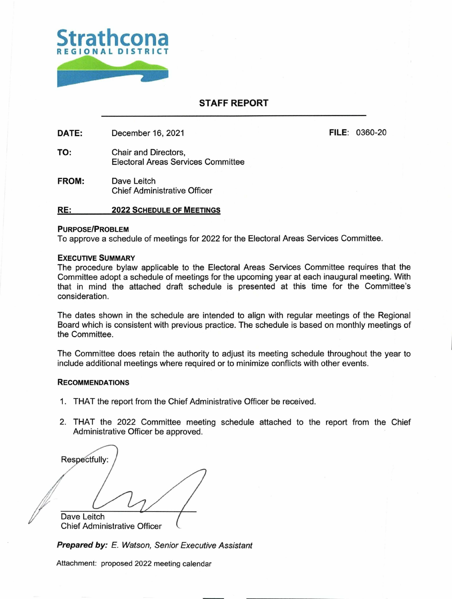

## **STAFF REPORT**

**DATE:** December 16, 2021 **FILE:** 0360-20

- TO: Chair and Directors, Electoral Areas Services Committee
- **FROM:** Dave Leitch Chief Administrative Officer

### **RE: 2022 SCHEDULE OF MEETINGS**

### **PURPOSE/PROBLEM**

To approve a schedule of meetings for 2022 for the Electoral Areas Services Committee.

#### EXECUTIVE SUMMARY

The procedure bylaw applicable to the Electoral Areas Services Committee requires that the Committee adopt a schedule of meetings for the upcoming year at each inaugural meeting. With that in mind the attached draft schedule is presented at this time for the Committee's consideration.

The dates shown in the schedule are intended to align with regular meetings of the Regional Board which is consistent with previous practice. The schedule is based on monthly meetings of the Committee.

The Committee does retain the authority to adjust its meeting schedule throughout the year to include additional meetings where required or to minimize conflicts with other events.

#### RECOMMENDATIONS

- 1. THAT the report from the Chief Administrative Officer be received.
- 2. THAT the 2022 Committee meeting schedule attached to the report from the Chief Administrative Officer be approved.

Dave Leitch Chief Administrative Officer **Respectfully:** 

**Prepared by:** E. Watson, Senior Executive Assistant

Attachment: proposed 2022 meeting calendar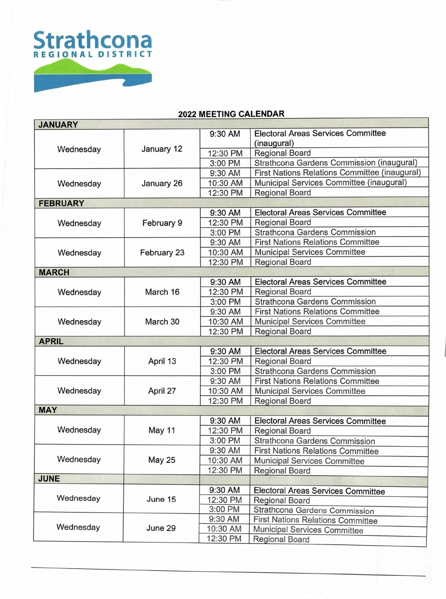

# **2022 MEETING CALENDAR**

| <b>JANUARY</b>  |               |          |                                               |
|-----------------|---------------|----------|-----------------------------------------------|
| Wednesday       | January 12    | 9:30 AM  | <b>Electoral Areas Services Committee</b>     |
|                 |               |          | (inaugural)                                   |
|                 |               | 12:30 PM | <b>Regional Board</b>                         |
|                 |               | 3:00 PM  | Strathcona Gardens Commission (inaugural)     |
| Wednesday       | January 26    | 9:30 AM  | First Nations Relations Committee (inaugural) |
|                 |               | 10:30 AM | Municipal Services Committee (inaugural)      |
|                 |               | 12:30 PM | Regional Board                                |
| <b>FEBRUARY</b> |               |          |                                               |
| Wednesday       | February 9    | 9:30 AM  | <b>Electoral Areas Services Committee</b>     |
|                 |               | 12:30 PM | <b>Regional Board</b>                         |
|                 |               | 3:00 PM  | Strathcona Gardens Commission                 |
|                 | February 23   | 9:30 AM  | <b>First Nations Relations Committee</b>      |
| Wednesday       |               | 10:30 AM | <b>Municipal Services Committee</b>           |
|                 |               | 12:30 PM | <b>Regional Board</b>                         |
| <b>MARCH</b>    |               |          |                                               |
|                 | March 16      | 9:30 AM  | <b>Electoral Areas Services Committee</b>     |
| Wednesday       |               | 12:30 PM | <b>Regional Board</b>                         |
|                 |               | 3:00 PM  | Strathcona Gardens Commission                 |
|                 | March 30      | 9:30 AM  | <b>First Nations Relations Committee</b>      |
| Wednesday       |               | 10:30 AM | <b>Municipal Services Committee</b>           |
|                 |               | 12:30 PM | <b>Regional Board</b>                         |
| <b>APRIL</b>    |               |          |                                               |
| Wednesday       | April 13      | 9:30 AM  | <b>Electoral Areas Services Committee</b>     |
|                 |               | 12:30 PM | <b>Regional Board</b>                         |
|                 |               | 3:00 PM  | Strathcona Gardens Commission                 |
|                 | April 27      | 9:30 AM  | <b>First Nations Relations Committee</b>      |
| Wednesday       |               | 10:30 AM | <b>Municipal Services Committee</b>           |
|                 |               | 12:30 PM | Regional Board                                |
| <b>MAY</b>      |               |          |                                               |
|                 | <b>May 11</b> | 9:30 AM  | <b>Electoral Areas Services Committee</b>     |
| Wednesday       |               | 12:30 PM | <b>Regional Board</b>                         |
|                 |               | 3:00 PM  | Strathcona Gardens Commission                 |
| Wednesday       | <b>May 25</b> | 9:30 AM  | <b>First Nations Relations Committee</b>      |
|                 |               | 10:30 AM | Municipal Services Committee                  |
|                 |               | 12:30 PM | Regional Board                                |
| <b>JUNE</b>     |               |          |                                               |
| Wednesday       | June 15       | 9:30 AM  | Electoral Areas Services Committee            |
|                 |               | 12:30 PM | <b>Regional Board</b>                         |
|                 |               | 3:00 PM  | Strathcona Gardens Commission                 |
| Wednesday       | June 29       | 9:30 AM  | <b>First Nations Relations Committee</b>      |
|                 |               | 10:30 AM |                                               |
|                 |               | 12:30 PM | Municipal Services Committee                  |
|                 |               |          | <b>Regional Board</b>                         |